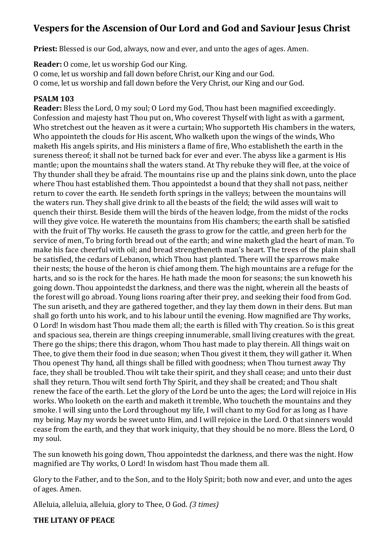# **Vespers for the Ascension of Our Lord and God and Saviour Jesus Christ**

**Priest:** Blessed is our God, always, now and ever, and unto the ages of ages. Amen.

**Reader:** O come, let us worship God our King.

O come, let us worship and fall down before Christ, our King and our God.

O come, let us worship and fall down before the Very Christ, our King and our God.

#### **PSALM 103**

**Reader:** Bless the Lord, O my soul; O Lord my God, Thou hast been magnified exceedingly. Confession and majesty hast Thou put on, Who coverest Thyself with light as with a garment, Who stretchest out the heaven as it were a curtain; Who supporteth His chambers in the waters, Who appointeth the clouds for His ascent, Who walketh upon the wings of the winds, Who maketh His angels spirits, and His ministers a flame of fire, Who establisheth the earth in the sureness thereof; it shall not be turned back for ever and ever. The abyss like a garment is His mantle; upon the mountains shall the waters stand. At Thy rebuke they will flee, at the voice of Thy thunder shall they be afraid. The mountains rise up and the plains sink down, unto the place where Thou hast established them. Thou appointedst a bound that they shall not pass, neither return to cover the earth. He sendeth forth springs in the valleys; between the mountains will the waters run. They shall give drink to all the beasts of the field; the wild asses will wait to quench their thirst. Beside them will the birds of the heaven lodge, from the midst of the rocks will they give voice. He watereth the mountains from His chambers; the earth shall be satisfied with the fruit of Thy works. He causeth the grass to grow for the cattle, and green herb for the service of men, To bring forth bread out of the earth; and wine maketh glad the heart of man. To make his face cheerful with oil; and bread strengtheneth man's heart. The trees of the plain shall be satisfied, the cedars of Lebanon, which Thou hast planted. There will the sparrows make their nests; the house of the heron is chief among them. The high mountains are a refuge for the harts, and so is the rock for the hares. He hath made the moon for seasons; the sun knoweth his going down. Thou appointedst the darkness, and there was the night, wherein all the beasts of the forest will go abroad. Young lions roaring after their prey, and seeking their food from God. The sun ariseth, and they are gathered together, and they lay them down in their dens. But man shall go forth unto his work, and to his labour until the evening. How magnified are Thy works, O Lord! In wisdom hast Thou made them all; the earth is filled with Thy creation. So is this great and spacious sea, therein are things creeping innumerable, small living creatures with the great. There go the ships; there this dragon, whom Thou hast made to play therein. All things wait on Thee, to give them their food in due season; when Thou givest it them, they will gather it. When Thou openest Thy hand, all things shall be filled with goodness; when Thou turnest away Thy face, they shall be troubled. Thou wilt take their spirit, and they shall cease; and unto their dust shall they return. Thou wilt send forth Thy Spirit, and they shall be created; and Thou shalt renew the face of the earth. Let the glory of the Lord be unto the ages; the Lord will rejoice in His works. Who looketh on the earth and maketh it tremble, Who toucheth the mountains and they smoke. I will sing unto the Lord throughout my life, I will chant to my God for as long as I have my being. May my words be sweet unto Him, and I will rejoice in the Lord. O that sinners would cease from the earth, and they that work iniquity, that they should be no more. Bless the Lord, O my soul.

The sun knoweth his going down, Thou appointedst the darkness, and there was the night. How magnified are Thy works, O Lord! In wisdom hast Thou made them all.

Glory to the Father, and to the Son, and to the Holy Spirit; both now and ever, and unto the ages of ages. Amen.

Alleluia, alleluia, alleluia, glory to Thee, O God. *(3 times)*

#### **THE LITANY OF PEACE**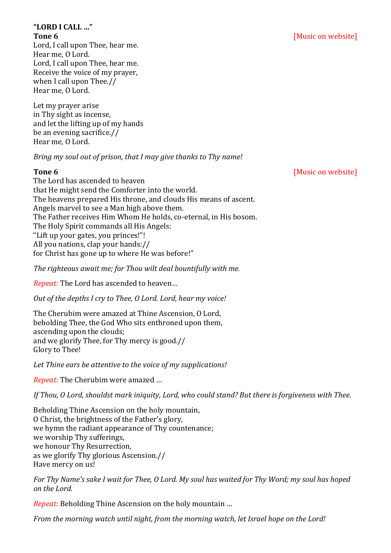# **"LORD I CALL …"**

Lord, I call upon Thee, hear me. Hear me, O Lord. Lord, I call upon Thee, hear me. Receive the voice of my prayer, when I call upon Thee.// Hear me, O Lord.

Let my prayer arise in Thy sight as incense, and let the lifting up of my hands be an evening sacrifice.// Hear me, O Lord.

*Bring my soul out of prison, that I may give thanks to Thy name!* 

The Lord has ascended to heaven that He might send the Comforter into the world. The heavens prepared His throne, and clouds His means of ascent. Angels marvel to see a Man high above them. The Father receives Him Whom He holds, co-eternal, in His bosom. The Holy Spirit commands all His Angels: "Lift up your gates, you princes!"! All you nations, clap your hands:// for Christ has gone up to where He was before!"

*The righteous await me; for Thou wilt deal bountifully with me.* 

*Repeat:* The Lord has ascended to heaven…

*Out of the depths I cry to Thee, O Lord. Lord, hear my voice!* 

The Cherubim were amazed at Thine Ascension, O Lord, beholding Thee, the God Who sits enthroned upon them, ascending upon the clouds; and we glorify Thee, for Thy mercy is good.// Glory to Thee!

*Let Thine ears be attentive to the voice of my supplications!*

*Repeat:* The Cherubim were amazed …

*If Thou, O Lord, shouldst mark iniquity, Lord, who could stand? But there is forgiveness with Thee.* 

Beholding Thine Ascension on the holy mountain, O Christ, the brightness of the Father's glory, we hymn the radiant appearance of Thy countenance; we worship Thy sufferings, we honour Thy Resurrection, as we glorify Thy glorious Ascension.// Have mercy on us!

*For Thy Name's sake I wait for Thee, O Lord. My soul has waited for Thy Word; my soul has hoped on the Lord.* 

*Repeat:* Beholding Thine Ascension on the holy mountain …

*From the morning watch until night, from the morning watch, let Israel hope on the Lord!* 

# **Tone 6** [Music on website]

**Tone 6** [Music on website]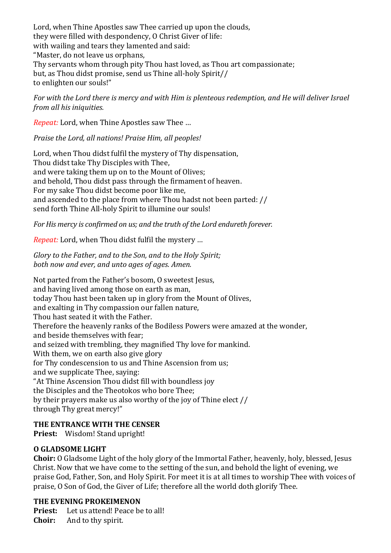Lord, when Thine Apostles saw Thee carried up upon the clouds, they were filled with despondency, O Christ Giver of life: with wailing and tears they lamented and said: "Master, do not leave us orphans, Thy servants whom through pity Thou hast loved, as Thou art compassionate; but, as Thou didst promise, send us Thine all-holy Spirit// to enlighten our souls!"

*For with the Lord there is mercy and with Him is plenteous redemption, and He will deliver Israel from all his iniquities.*

*Repeat:* Lord, when Thine Apostles saw Thee …

*Praise the Lord, all nations! Praise Him, all peoples!*

Lord, when Thou didst fulfil the mystery of Thy dispensation, Thou didst take Thy Disciples with Thee, and were taking them up on to the Mount of Olives; and behold, Thou didst pass through the firmament of heaven. For my sake Thou didst become poor like me, and ascended to the place from where Thou hadst not been parted: // send forth Thine All-holy Spirit to illumine our souls!

*For His mercy is confirmed on us; and the truth of the Lord endureth forever.*

*Repeat:* Lord, when Thou didst fulfil the mystery …

*Glory to the Father, and to the Son, and to the Holy Spirit; both now and ever, and unto ages of ages. Amen.* 

Not parted from the Father's bosom, O sweetest Jesus, and having lived among those on earth as man, today Thou hast been taken up in glory from the Mount of Olives, and exalting in Thy compassion our fallen nature, Thou hast seated it with the Father. Therefore the heavenly ranks of the Bodiless Powers were amazed at the wonder, and beside themselves with fear; and seized with trembling, they magnified Thy love for mankind. With them, we on earth also give glory for Thy condescension to us and Thine Ascension from us; and we supplicate Thee, saying: "At Thine Ascension Thou didst fill with boundless joy the Disciples and the Theotokos who bore Thee; by their prayers make us also worthy of the joy of Thine elect // through Thy great mercy!"

### **THE ENTRANCE WITH THE CENSER**

**Priest:** Wisdom! Stand upright!

#### **O GLADSOME LIGHT**

**Choir:** O Gladsome Light of the holy glory of the Immortal Father, heavenly, holy, blessed, Jesus Christ. Now that we have come to the setting of the sun, and behold the light of evening, we praise God, Father, Son, and Holy Spirit. For meet it is at all times to worship Thee with voices of praise, O Son of God, the Giver of Life; therefore all the world doth glorify Thee.

#### **THE EVENING PROKEIMENON**

**Priest:** Let us attend! Peace be to all! **Choir:** And to thy spirit.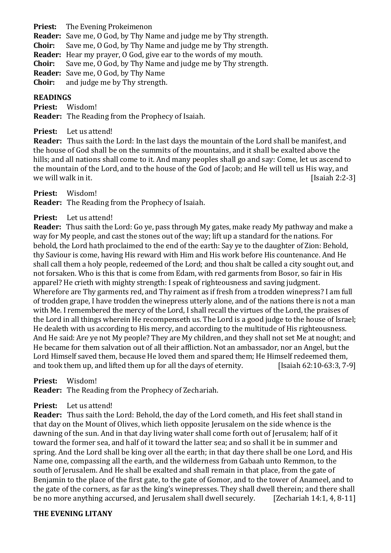**Priest:** The Evening Prokeimenon **Reader:** Save me, O God, by Thy Name and judge me by Thy strength. **Choir:** Save me, O God, by Thy Name and judge me by Thy strength. **Reader:** Hear my prayer, O God, give ear to the words of my mouth. **Choir:** Save me, O God, by Thy Name and judge me by Thy strength. **Reader:** Save me, O God, by Thy Name **Choir:** and judge me by Thy strength.

#### **READINGS**

**Priest:** Wisdom! **Reader:** The Reading from the Prophecy of Isaiah.

**Priest:** Let us attend!

**Reader:** Thus saith the Lord: In the last days the mountain of the Lord shall be manifest, and the house of God shall be on the summits of the mountains, and it shall be exalted above the hills; and all nations shall come to it. And many peoples shall go and say: Come, let us ascend to the mountain of the Lord, and to the house of the God of Jacob; and He will tell us His way, and we will walk in it. [Isaiah 2:2-3]

**Priest:** Wisdom!

**Reader:** The Reading from the Prophecy of Isaiah.

#### **Priest:** Let us attend!

**Reader:** Thus saith the Lord: Go ye, pass through My gates, make ready My pathway and make a way for My people, and cast the stones out of the way; lift up a standard for the nations. For behold, the Lord hath proclaimed to the end of the earth: Say ye to the daughter of Zion: Behold, thy Saviour is come, having His reward with Him and His work before His countenance. And He shall call them a holy people, redeemed of the Lord; and thou shalt be called a city sought out, and not forsaken. Who is this that is come from Edam, with red garments from Bosor, so fair in His apparel? He crieth with mighty strength: I speak of righteousness and saving judgment. Wherefore are Thy garments red, and Thy raiment as if fresh from a trodden winepress? I am full of trodden grape, I have trodden the winepress utterly alone, and of the nations there is not a man with Me. I remembered the mercy of the Lord, I shall recall the virtues of the Lord, the praises of the Lord in all things wherein He recompenseth us. The Lord is a good judge to the house of Israel; He dealeth with us according to His mercy, and according to the multitude of His righteousness. And He said: Are ye not My people? They are My children, and they shall not set Me at nought; and He became for them salvation out of all their affliction. Not an ambassador, nor an Angel, but the Lord Himself saved them, because He loved them and spared them; He Himself redeemed them, and took them up, and lifted them up for all the days of eternity. [Isaiah 62:10-63:3, 7-9]

**Priest:** Wisdom!

**Reader:** The Reading from the Prophecy of Zechariah.

**Priest:** Let us attend!

**Reader:** Thus saith the Lord: Behold, the day of the Lord cometh, and His feet shall stand in that day on the Mount of Olives, which lieth opposite Jerusalem on the side whence is the dawning of the sun. And in that day living water shall come forth out of Jerusalem; half of it toward the former sea, and half of it toward the latter sea; and so shall it be in summer and spring. And the Lord shall be king over all the earth; in that day there shall be one Lord, and His Name one, compassing all the earth, and the wilderness from Gabaah unto Remmon, to the south of Jerusalem. And He shall be exalted and shall remain in that place, from the gate of Benjamin to the place of the first gate, to the gate of Gomor, and to the tower of Anameel, and to the gate of the corners, as far as the king's winepresses. They shall dwell therein; and there shall be no more anything accursed, and Jerusalem shall dwell securely. [Zechariah 14:1, 4, 8-11]

#### **THE EVENING LITANY**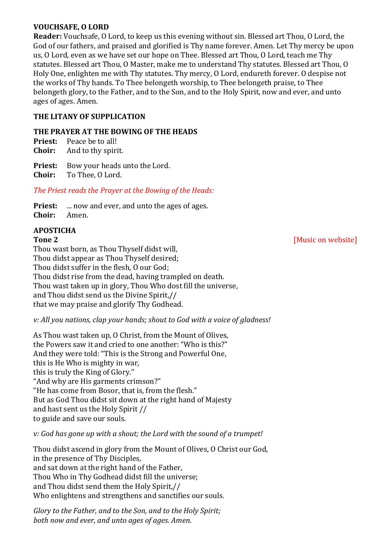## **VOUCHSAFE, O LORD**

**Reader:** Vouchsafe, O Lord, to keep us this evening without sin. Blessed art Thou, O Lord, the God of our fathers, and praised and glorified is Thy name forever. Amen. Let Thy mercy be upon us, O Lord, even as we have set our hope on Thee. Blessed art Thou, O Lord, teach me Thy statutes. Blessed art Thou, O Master, make me to understand Thy statutes. Blessed art Thou, O Holy One, enlighten me with Thy statutes. Thy mercy, O Lord, endureth forever. O despise not the works of Thy hands. To Thee belongeth worship, to Thee belongeth praise, to Thee belongeth glory, to the Father, and to the Son, and to the Holy Spirit, now and ever, and unto ages of ages. Amen.

### **THE LITANY OF SUPPLICATION**

#### **THE PRAYER AT THE BOWING OF THE HEADS**

**Priest:** Peace be to all!

**Choir:** And to thy spirit.

**Priest:** Bow your heads unto the Lord.

**Choir:** To Thee, O Lord.

### *The Priest reads the Prayer at the Bowing of the Heads:*

**Priest:** ... now and ever, and unto the ages of ages. **Choir:** Amen.

# **APOSTICHA**

Thou wast born, as Thou Thyself didst will, Thou didst appear as Thou Thyself desired; Thou didst suffer in the flesh, O our God; Thou didst rise from the dead, having trampled on death. Thou wast taken up in glory, Thou Who dost fill the universe, and Thou didst send us the Divine Spirit,// that we may praise and glorify Thy Godhead.

### *v: All you nations, clap your hands; shout to God with a voice of gladness!*

As Thou wast taken up, O Christ, from the Mount of Olives, the Powers saw it and cried to one another: "Who is this?" And they were told: "This is the Strong and Powerful One, this is He Who is mighty in war, this is truly the King of Glory." "And why are His garments crimson?" "He has come from Bosor, that is, from the flesh." But as God Thou didst sit down at the right hand of Majesty and hast sent us the Holy Spirit // to guide and save our souls.

### *v: God has gone up with a shout; the Lord with the sound of a trumpet!*

Thou didst ascend in glory from the Mount of Olives, O Christ our God, in the presence of Thy Disciples, and sat down at the right hand of the Father, Thou Who in Thy Godhead didst fill the universe; and Thou didst send them the Holy Spirit,// Who enlightens and strengthens and sanctifies our souls.

*Glory to the Father, and to the Son, and to the Holy Spirit; both now and ever, and unto ages of ages. Amen*.

# **Tone 2** [Music on website]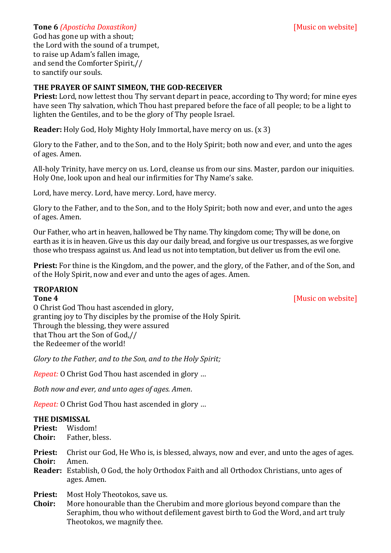#### **Tone 6** *(Aposticha Doxastikon)* **Contract on the Contract of** *[Music on website]*

God has gone up with a shout; the Lord with the sound of a trumpet, to raise up Adam's fallen image, and send the Comforter Spirit,// to sanctify our souls.

#### **THE PRAYER OF SAINT SIMEON, THE GOD-RECEIVER**

**Priest:** Lord, now lettest thou Thy servant depart in peace, according to Thy word; for mine eyes have seen Thy salvation, which Thou hast prepared before the face of all people; to be a light to lighten the Gentiles, and to be the glory of Thy people Israel.

**Reader:** Holy God, Holy Mighty Holy Immortal, have mercy on us. (x 3)

Glory to the Father, and to the Son, and to the Holy Spirit; both now and ever, and unto the ages of ages. Amen.

All-holy Trinity, have mercy on us. Lord, cleanse us from our sins. Master, pardon our iniquities. Holy One, look upon and heal our infirmities for Thy Name's sake.

Lord, have mercy. Lord, have mercy. Lord, have mercy.

Glory to the Father, and to the Son, and to the Holy Spirit; both now and ever, and unto the ages of ages. Amen.

Our Father, who art in heaven, hallowed be Thy name. Thy kingdom come; Thy will be done, on earth as it is in heaven. Give us this day our daily bread, and forgive us our trespasses, as we forgive those who trespass against us. And lead us not into temptation, but deliver us from the evil one.

**Priest:** For thine is the Kingdom, and the power, and the glory, of the Father, and of the Son, and of the Holy Spirit, now and ever and unto the ages of ages. Amen.

### **TROPARION**

**Tone 4** [Music on website]

O Christ God Thou hast ascended in glory, granting joy to Thy disciples by the promise of the Holy Spirit. Through the blessing, they were assured that Thou art the Son of God,// the Redeemer of the world!

*Glory to the Father, and to the Son, and to the Holy Spirit;*

*Repeat:* O Christ God Thou hast ascended in glory …

*Both now and ever, and unto ages of ages. Amen*.

*Repeat:* O Christ God Thou hast ascended in glory …

#### **THE DISMISSAL**

- **Priest:** Wisdom!
- **Choir:** Father, bless.
- **Priest:** Christ our God, He Who is, is blessed, always, now and ever, and unto the ages of ages. **Choir:** Amen.
- **Reader:** Establish, O God, the holy Orthodox Faith and all Orthodox Christians, unto ages of ages. Amen.

**Priest:** Most Holy Theotokos, save us.

**Choir:** More honourable than the Cherubim and more glorious beyond compare than the Seraphim, thou who without defilement gavest birth to God the Word, and art truly Theotokos, we magnify thee.